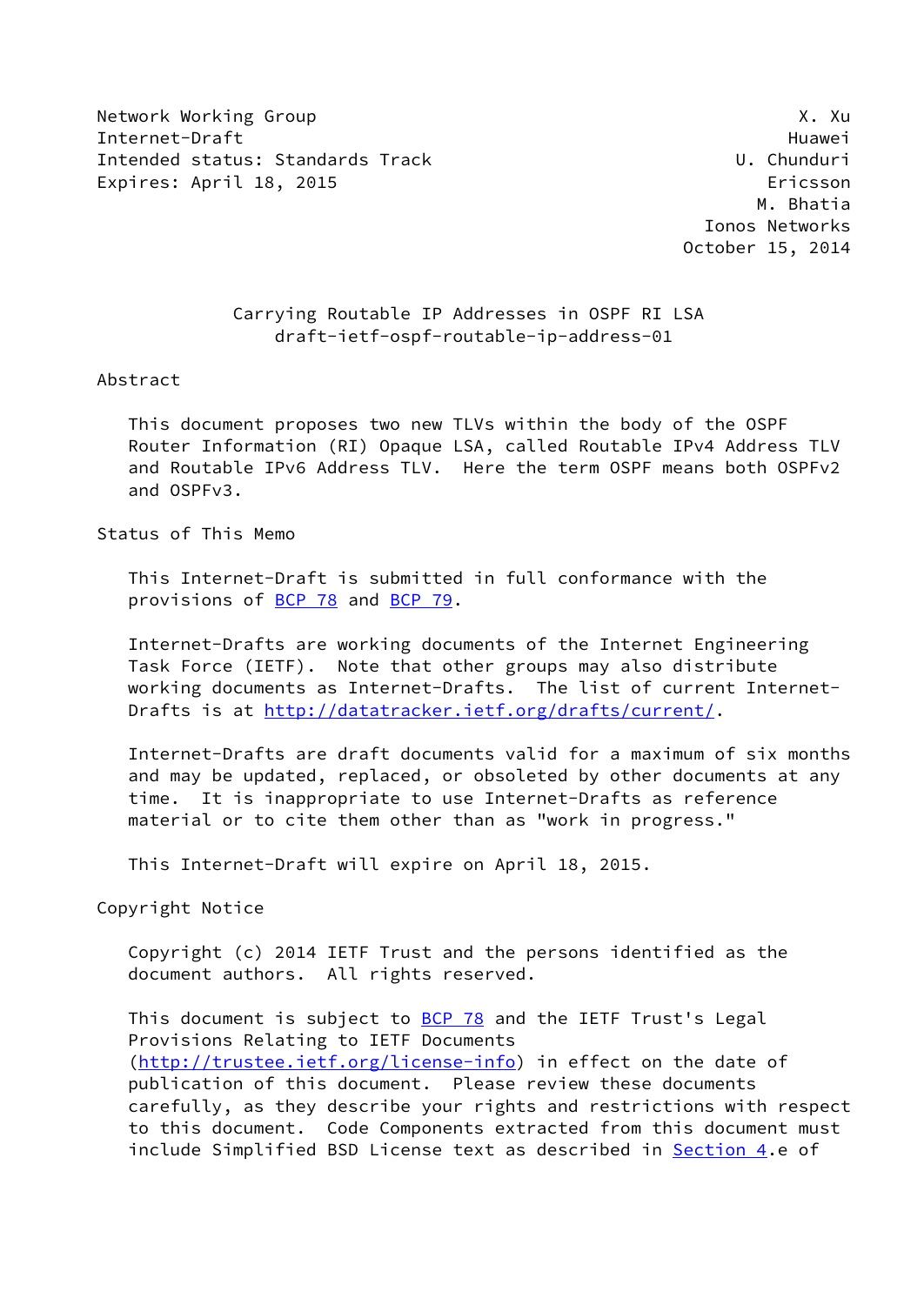Network Working Group **X. Automatic Contract Contract Contract Contract Contract Contract Contract Contract Contract Contract Contract Contract Contract Contract Contract Contract Contract Contract Contract Contract Contra** Internet-Draft Huawei Intended status: Standards Track U. Chunduri Expires: April 18, 2015 **Expires: April 18, 2015** 

 M. Bhatia Ionos Networks October 15, 2014

## Carrying Routable IP Addresses in OSPF RI LSA draft-ietf-ospf-routable-ip-address-01

#### Abstract

 This document proposes two new TLVs within the body of the OSPF Router Information (RI) Opaque LSA, called Routable IPv4 Address TLV and Routable IPv6 Address TLV. Here the term OSPF means both OSPFv2 and OSPFv3.

Status of This Memo

 This Internet-Draft is submitted in full conformance with the provisions of [BCP 78](https://datatracker.ietf.org/doc/pdf/bcp78) and [BCP 79](https://datatracker.ietf.org/doc/pdf/bcp79).

 Internet-Drafts are working documents of the Internet Engineering Task Force (IETF). Note that other groups may also distribute working documents as Internet-Drafts. The list of current Internet Drafts is at<http://datatracker.ietf.org/drafts/current/>.

 Internet-Drafts are draft documents valid for a maximum of six months and may be updated, replaced, or obsoleted by other documents at any time. It is inappropriate to use Internet-Drafts as reference material or to cite them other than as "work in progress."

This Internet-Draft will expire on April 18, 2015.

Copyright Notice

 Copyright (c) 2014 IETF Trust and the persons identified as the document authors. All rights reserved.

This document is subject to **[BCP 78](https://datatracker.ietf.org/doc/pdf/bcp78)** and the IETF Trust's Legal Provisions Relating to IETF Documents [\(http://trustee.ietf.org/license-info](http://trustee.ietf.org/license-info)) in effect on the date of publication of this document. Please review these documents carefully, as they describe your rights and restrictions with respect to this document. Code Components extracted from this document must include Simplified BSD License text as described in [Section 4.](#page-2-0)e of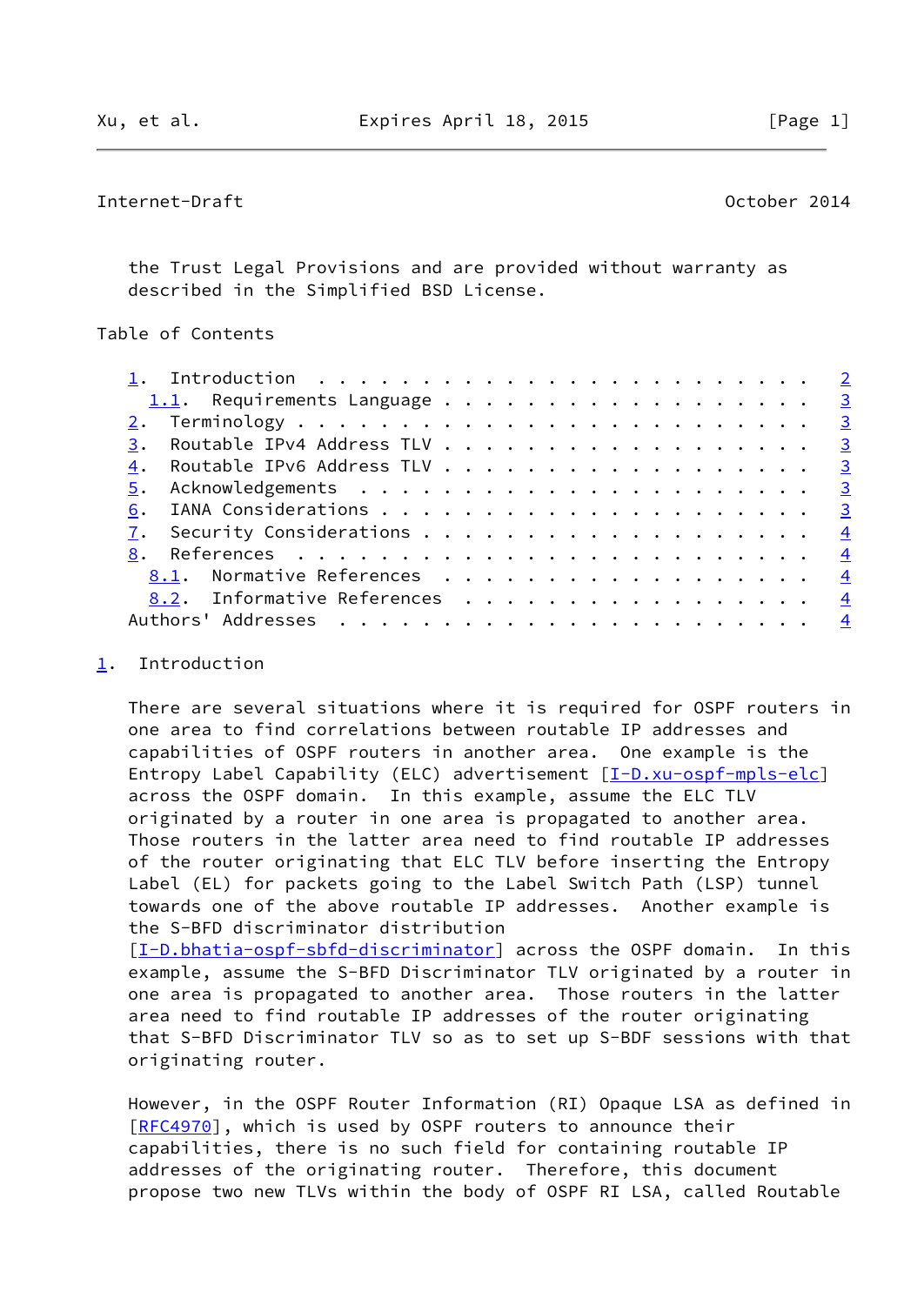# <span id="page-1-1"></span>Internet-Draft October 2014

 the Trust Legal Provisions and are provided without warranty as described in the Simplified BSD License.

# Table of Contents

|    | 1. Introduction $\ldots \ldots \ldots \ldots \ldots \ldots \ldots \ldots \ldots$ |  |
|----|----------------------------------------------------------------------------------|--|
|    | 1.1. Requirements Language 3                                                     |  |
|    |                                                                                  |  |
| 3. | Routable IPv4 Address TLV 3                                                      |  |
| 4. | Routable IPv6 Address TLV 3                                                      |  |
|    |                                                                                  |  |
| 6. |                                                                                  |  |
|    |                                                                                  |  |
|    |                                                                                  |  |
|    | 8.1. Normative References 4                                                      |  |
|    | 8.2. Informative References<br>$\overline{4}$                                    |  |
|    | $\frac{4}{3}$                                                                    |  |

### <span id="page-1-0"></span>[1](#page-1-0). Introduction

 There are several situations where it is required for OSPF routers in one area to find correlations between routable IP addresses and capabilities of OSPF routers in another area. One example is the Entropy Label Capability (ELC) advertisement [\[I-D.xu-ospf-mpls-elc](#page-3-6)] across the OSPF domain. In this example, assume the ELC TLV originated by a router in one area is propagated to another area. Those routers in the latter area need to find routable IP addresses of the router originating that ELC TLV before inserting the Entropy Label (EL) for packets going to the Label Switch Path (LSP) tunnel towards one of the above routable IP addresses. Another example is the S-BFD discriminator distribution

[\[I-D.bhatia-ospf-sbfd-discriminator\]](#page-3-7) across the OSPF domain. In this example, assume the S-BFD Discriminator TLV originated by a router in one area is propagated to another area. Those routers in the latter area need to find routable IP addresses of the router originating that S-BFD Discriminator TLV so as to set up S-BDF sessions with that originating router.

 However, in the OSPF Router Information (RI) Opaque LSA as defined in [\[RFC4970](https://datatracker.ietf.org/doc/pdf/rfc4970)], which is used by OSPF routers to announce their capabilities, there is no such field for containing routable IP addresses of the originating router. Therefore, this document propose two new TLVs within the body of OSPF RI LSA, called Routable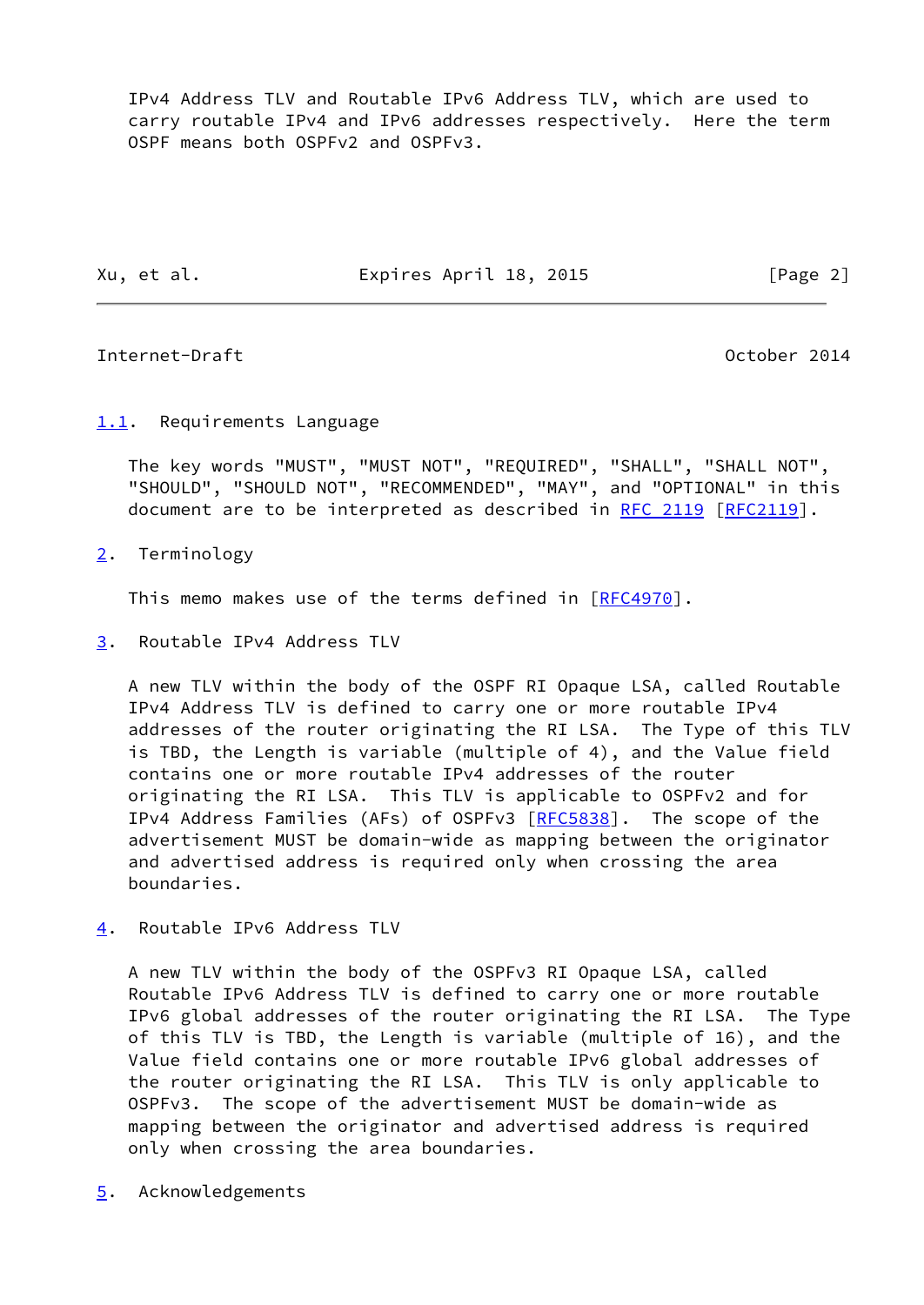IPv4 Address TLV and Routable IPv6 Address TLV, which are used to carry routable IPv4 and IPv6 addresses respectively. Here the term OSPF means both OSPFv2 and OSPFv3.

Xu, et al. Expires April 18, 2015 [Page 2]

## <span id="page-2-2"></span>Internet-Draft October 2014

## <span id="page-2-1"></span>[1.1](#page-2-1). Requirements Language

 The key words "MUST", "MUST NOT", "REQUIRED", "SHALL", "SHALL NOT", "SHOULD", "SHOULD NOT", "RECOMMENDED", "MAY", and "OPTIONAL" in this document are to be interpreted as described in [RFC 2119 \[RFC2119](https://datatracker.ietf.org/doc/pdf/rfc2119)].

<span id="page-2-3"></span>[2](#page-2-3). Terminology

This memo makes use of the terms defined in [\[RFC4970](https://datatracker.ietf.org/doc/pdf/rfc4970)].

<span id="page-2-4"></span>[3](#page-2-4). Routable IPv4 Address TLV

 A new TLV within the body of the OSPF RI Opaque LSA, called Routable IPv4 Address TLV is defined to carry one or more routable IPv4 addresses of the router originating the RI LSA. The Type of this TLV is TBD, the Length is variable (multiple of 4), and the Value field contains one or more routable IPv4 addresses of the router originating the RI LSA. This TLV is applicable to OSPFv2 and for IPv4 Address Families (AFs) of OSPFv3 [[RFC5838](https://datatracker.ietf.org/doc/pdf/rfc5838)]. The scope of the advertisement MUST be domain-wide as mapping between the originator and advertised address is required only when crossing the area boundaries.

<span id="page-2-0"></span>[4](#page-2-0). Routable IPv6 Address TLV

 A new TLV within the body of the OSPFv3 RI Opaque LSA, called Routable IPv6 Address TLV is defined to carry one or more routable IPv6 global addresses of the router originating the RI LSA. The Type of this TLV is TBD, the Length is variable (multiple of 16), and the Value field contains one or more routable IPv6 global addresses of the router originating the RI LSA. This TLV is only applicable to OSPFv3. The scope of the advertisement MUST be domain-wide as mapping between the originator and advertised address is required only when crossing the area boundaries.

<span id="page-2-5"></span>[5](#page-2-5). Acknowledgements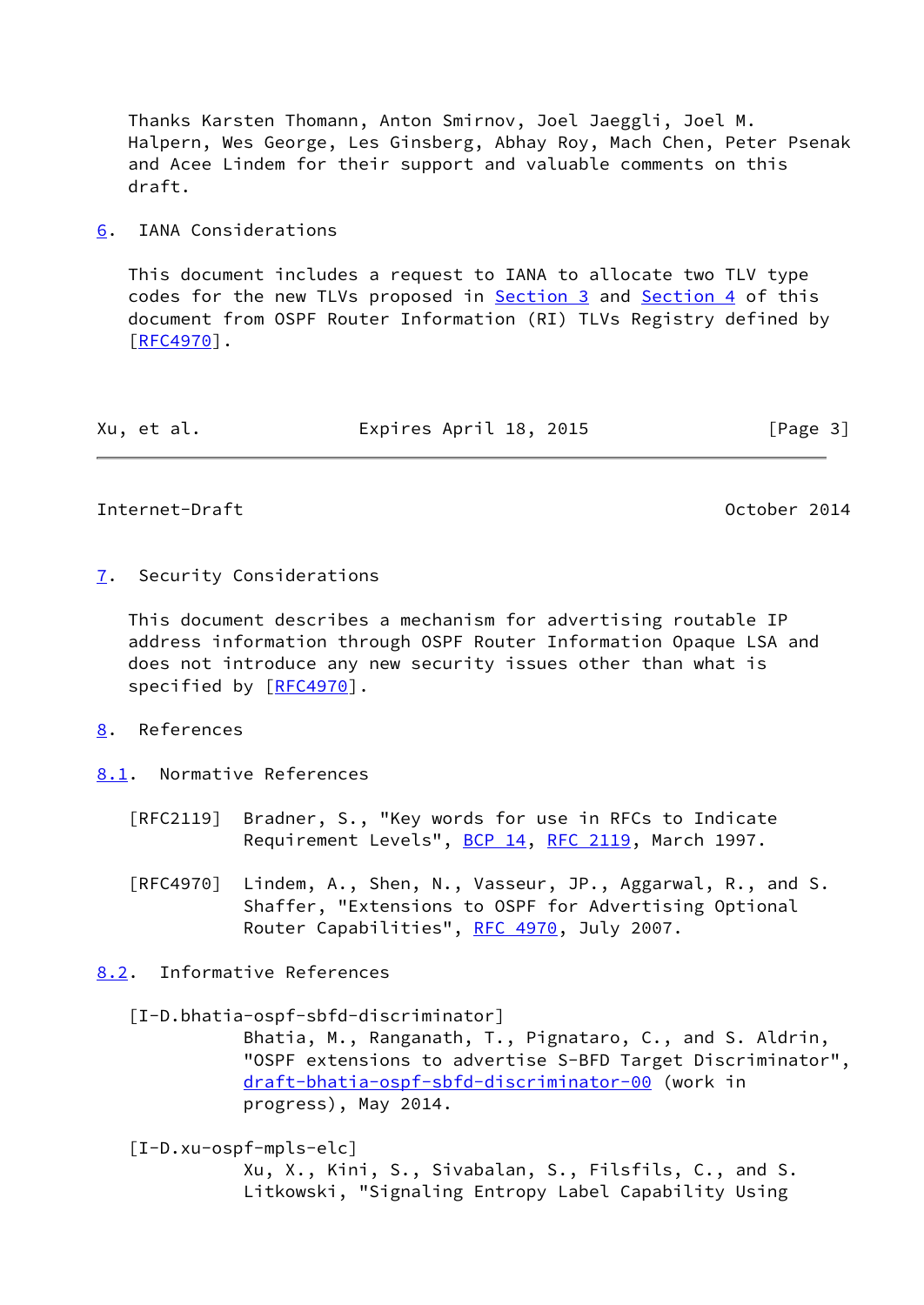Thanks Karsten Thomann, Anton Smirnov, Joel Jaeggli, Joel M. Halpern, Wes George, Les Ginsberg, Abhay Roy, Mach Chen, Peter Psenak and Acee Lindem for their support and valuable comments on this draft.

## <span id="page-3-0"></span>[6](#page-3-0). IANA Considerations

 This document includes a request to IANA to allocate two TLV type codes for the new TLVs proposed in [Section 3](#page-2-4) and [Section 4](#page-2-0) of this document from OSPF Router Information (RI) TLVs Registry defined by  $[REC4970]$ .

| Expires April 18, 2015<br>Xu, et al. | [Page 3] |  |
|--------------------------------------|----------|--|
|--------------------------------------|----------|--|

<span id="page-3-2"></span>Internet-Draft October 2014

<span id="page-3-1"></span>[7](#page-3-1). Security Considerations

 This document describes a mechanism for advertising routable IP address information through OSPF Router Information Opaque LSA and does not introduce any new security issues other than what is specified by [\[RFC4970](https://datatracker.ietf.org/doc/pdf/rfc4970)].

<span id="page-3-3"></span>[8](#page-3-3). References

<span id="page-3-4"></span>[8.1](#page-3-4). Normative References

- [RFC2119] Bradner, S., "Key words for use in RFCs to Indicate Requirement Levels", [BCP 14](https://datatracker.ietf.org/doc/pdf/bcp14), [RFC 2119](https://datatracker.ietf.org/doc/pdf/rfc2119), March 1997.
- [RFC4970] Lindem, A., Shen, N., Vasseur, JP., Aggarwal, R., and S. Shaffer, "Extensions to OSPF for Advertising Optional Router Capabilities", [RFC 4970](https://datatracker.ietf.org/doc/pdf/rfc4970), July 2007.

<span id="page-3-5"></span>[8.2](#page-3-5). Informative References

## <span id="page-3-7"></span>[I-D.bhatia-ospf-sbfd-discriminator]

 Bhatia, M., Ranganath, T., Pignataro, C., and S. Aldrin, "OSPF extensions to advertise S-BFD Target Discriminator", [draft-bhatia-ospf-sbfd-discriminator-00](https://datatracker.ietf.org/doc/pdf/draft-bhatia-ospf-sbfd-discriminator-00) (work in progress), May 2014.

<span id="page-3-6"></span>[I-D.xu-ospf-mpls-elc]

 Xu, X., Kini, S., Sivabalan, S., Filsfils, C., and S. Litkowski, "Signaling Entropy Label Capability Using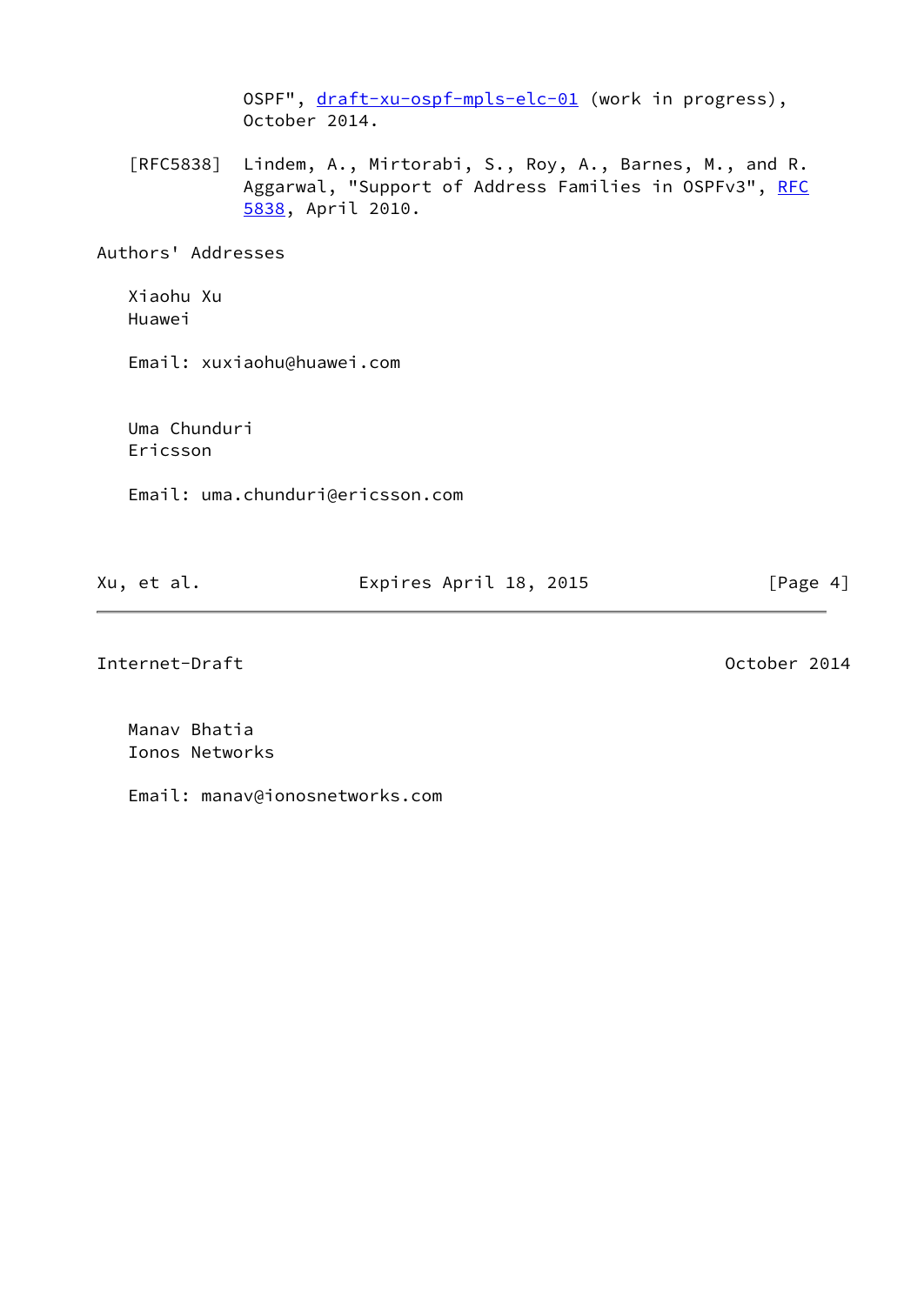OSPF", [draft-xu-ospf-mpls-elc-01](https://datatracker.ietf.org/doc/pdf/draft-xu-ospf-mpls-elc-01) (work in progress), October 2014.

 [RFC5838] Lindem, A., Mirtorabi, S., Roy, A., Barnes, M., and R. Aggarwal, "Support of Address Families in OSPFv3", [RFC](https://datatracker.ietf.org/doc/pdf/rfc5838) [5838,](https://datatracker.ietf.org/doc/pdf/rfc5838) April 2010.

Authors' Addresses

 Xiaohu Xu Huawei

Email: xuxiaohu@huawei.com

 Uma Chunduri Ericsson

Email: uma.chunduri@ericsson.com

| Xu, et al. | Expires April 18, 2015 | [Page 4] |
|------------|------------------------|----------|
|            |                        |          |

Internet-Draft **October 2014** 

 Manav Bhatia Ionos Networks

Email: manav@ionosnetworks.com